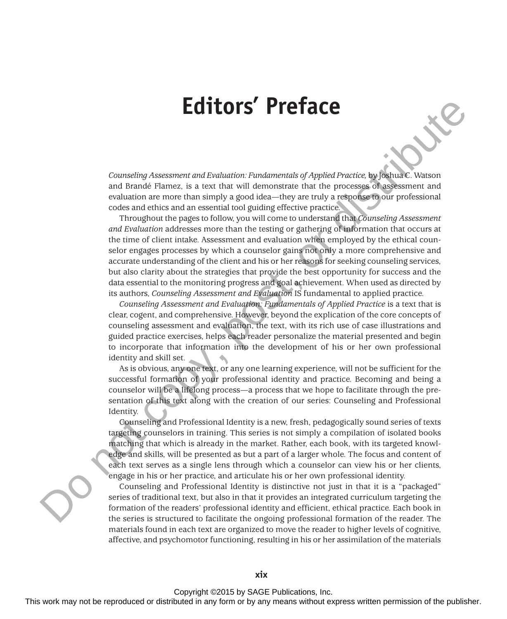## **Editors' Preface**

*Counseling Assessment and Evaluation: Fundamentals of Applied Practice,* by Joshua C. Watson and Brandé Flamez, is a text that will demonstrate that the processes of assessment and evaluation are more than simply a good idea—they are truly a response to our professional codes and ethics and an essential tool guiding effective practice.

Throughout the pages to follow, you will come to understand that *Counseling Assessment and Evaluation* addresses more than the testing or gathering of information that occurs at the time of client intake. Assessment and evaluation when employed by the ethical counselor engages processes by which a counselor gains not only a more comprehensive and accurate understanding of the client and his or her reasons for seeking counseling services, but also clarity about the strategies that provide the best opportunity for success and the data essential to the monitoring progress and goal achievement. When used as directed by its authors, *Counseling Assessment and Evaluation* IS fundamental to applied practice. **EQUITATS' PTCHACCE**<br>
This work may not be reproduced or distributed in any form or by any means with an any form or be reproduced in a set of the publisher. The components were also that a may not continue the publisher

*Counseling Assessment and Evaluation: Fundamentals of Applied Practice* is a text that is clear, cogent, and comprehensive. However, beyond the explication of the core concepts of counseling assessment and evaluation, the text, with its rich use of case illustrations and guided practice exercises, helps each reader personalize the material presented and begin to incorporate that information into the development of his or her own professional identity and skill set.

As is obvious, any one text, or any one learning experience, will not be sufficient for the successful formation of your professional identity and practice. Becoming and being a counselor will be a lifelong process—a process that we hope to facilitate through the presentation of this text along with the creation of our series: Counseling and Professional Identity.

Counseling and Professional Identity is a new, fresh, pedagogically sound series of texts targeting counselors in training. This series is not simply a compilation of isolated books matching that which is already in the market. Rather, each book, with its targeted knowledge and skills, will be presented as but a part of a larger whole. The focus and content of each text serves as a single lens through which a counselor can view his or her clients, engage in his or her practice, and articulate his or her own professional identity.

Counseling and Professional Identity is distinctive not just in that it is a "packaged" series of traditional text, but also in that it provides an integrated curriculum targeting the formation of the readers' professional identity and efficient, ethical practice. Each book in the series is structured to facilitate the ongoing professional formation of the reader. The materials found in each text are organized to move the reader to higher levels of cognitive, affective, and psychomotor functioning, resulting in his or her assimilation of the materials

Copyright ©2015 by SAGE Publications, Inc.